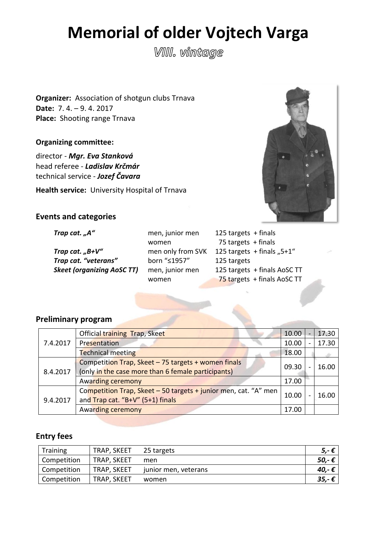# **Memorial of older Vojtech Varga**

**VIII.** vintage

**Organizer:** Association of shotgun clubs Trnava **Date:** 7. 4. – 9. 4. 2017 **Place:** Shooting range Trnava

**Organizing committee:** 

director - *Mgr. Eva Stanková*  head referee - *Ladislav Krčmár* technical service - *Jozef Čavara* 

**Health service:** University Hospital of Trnava



## **Events and categories**

**Trap cat.** "B+V" men only from SVK **Trap** cat. "veterans" born "≤1957" **Skeet (organizing AoSC TT)** men, junior men

*Trap cat.* "A" men, junior men women women

| 125 targets $+$ finals       |  |
|------------------------------|--|
| 75 targets $+$ finals        |  |
| 125 targets + finals "5+1"   |  |
| 125 targets                  |  |
| 125 targets + finals AoSC TT |  |
| 75 targets + finals AoSC TT  |  |

# **Preliminary program**

|          | Official training Trap, Skeet                                                                             | 10.00 | -                        | 17.30 |
|----------|-----------------------------------------------------------------------------------------------------------|-------|--------------------------|-------|
| 7.4.2017 | Presentation                                                                                              | 10.00 |                          | 17.30 |
|          | <b>Technical meeting</b>                                                                                  | 18.00 |                          |       |
| 8.4.2017 | Competition Trap, Skeet - 75 targets + women finals<br>(only in the case more than 6 female participants) | 09.30 | $\overline{\phantom{0}}$ | 16.00 |
|          | Awarding ceremony                                                                                         | 17.00 |                          |       |
| 9.4.2017 | Competition Trap, Skeet - 50 targets + junior men, cat. "A" men<br>and Trap cat. "B+V" (5+1) finals       | 10.00 | $\overline{\phantom{0}}$ | 16.00 |
|          | Awarding ceremony                                                                                         | 17.00 |                          |       |

# **Entry fees**

| <b>Training</b> | TRAP, SKEET | 25 targets           | $5,-\epsilon$ |
|-----------------|-------------|----------------------|---------------|
| Competition     | TRAP, SKEET | men                  | 50,- €        |
| Competition     | TRAP, SKEET | junior men, veterans | 40,-€         |
| Competition     | TRAP, SKEET | women                | $35,-€$       |